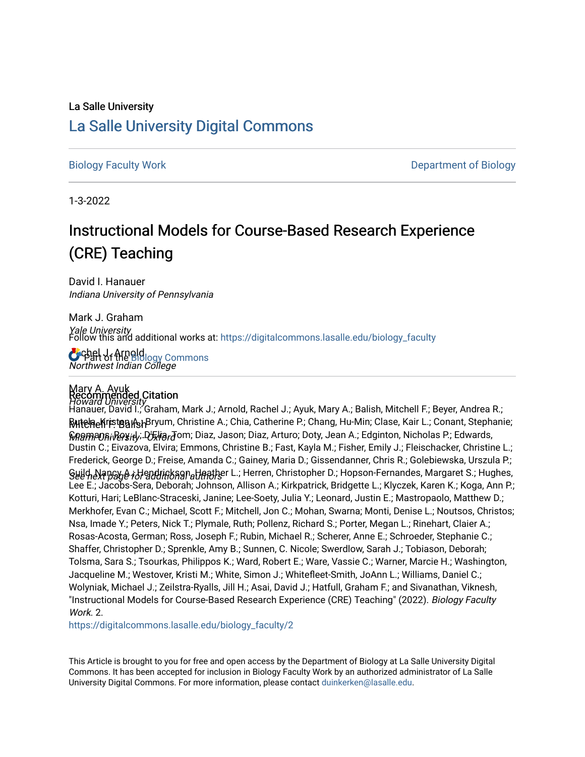# La Salle University

# [La Salle University Digital Commons](https://digitalcommons.lasalle.edu/)

[Biology Faculty Work](https://digitalcommons.lasalle.edu/biology_faculty) [Department of Biology](https://digitalcommons.lasalle.edu/biology) 

1-3-2022

# Instructional Models for Course-Based Research Experience (CRE) Teaching

David I. Hanauer Indiana University of Pennsylvania

Mark J. Graham Yale University Follow this and additional works at: [https://digitalcommons.lasalle.edu/biology\\_faculty](https://digitalcommons.lasalle.edu/biology_faculty?utm_source=digitalcommons.lasalle.edu%2Fbiology_faculty%2F2&utm_medium=PDF&utm_campaign=PDFCoverPages) 

**C**rebel of the Biology Commons Northwest Indian College

# Mary A. Ayuk Recommended Citation

Howard University<br>Hanauer, David I.; Graham, Mark J.; Arnold, Rachel J.; Ayuk, Mary A.; Balish, Mitchell F.; Beyer, Andrea R.; **R⁄utela<sub>c</sub>l⁄iristen A**spBryum, Christine A.; Chia, Catherine P.; Chang, Hu-Min; Clase, Kair L.; Conant, Stephanie; **ଜନ୍ତନା**ନ୍ଦ୍ର ନା ଜିନ୍ତୁ । ଜୀବୀତ କର୍ମ (ଜୀବୀତ Diaz, Jason; Diaz, Arturo; Doty, Jean A.; Edginton, Nicholas P.; Edwards, <u>Suild, Napည A.; Hendrinkaan alten her</u> L.; Herren, Christopher D.; Hopson-Fernandes, Margaret S.; Hughes, Dustin C.; Eivazova, Elvira; Emmons, Christine B.; Fast, Kayla M.; Fisher, Emily J.; Fleischacker, Christine L.; Frederick, George D.; Freise, Amanda C.; Gainey, Maria D.; Gissendanner, Chris R.; Golebiewska, Urszula P.; Lee E.; Jacobs-Sera, Deborah; Johnson, Allison A.; Kirkpatrick, Bridgette L.; Klyczek, Karen K.; Koga, Ann P.; Kotturi, Hari; LeBlanc-Straceski, Janine; Lee-Soety, Julia Y.; Leonard, Justin E.; Mastropaolo, Matthew D.; Merkhofer, Evan C.; Michael, Scott F.; Mitchell, Jon C.; Mohan, Swarna; Monti, Denise L.; Noutsos, Christos; Nsa, Imade Y.; Peters, Nick T.; Plymale, Ruth; Pollenz, Richard S.; Porter, Megan L.; Rinehart, Claier A.; Rosas-Acosta, German; Ross, Joseph F.; Rubin, Michael R.; Scherer, Anne E.; Schroeder, Stephanie C.; Shaffer, Christopher D.; Sprenkle, Amy B.; Sunnen, C. Nicole; Swerdlow, Sarah J.; Tobiason, Deborah; Tolsma, Sara S.; Tsourkas, Philippos K.; Ward, Robert E.; Ware, Vassie C.; Warner, Marcie H.; Washington, Jacqueline M.; Westover, Kristi M.; White, Simon J.; Whitefleet-Smith, JoAnn L.; Williams, Daniel C.; Wolyniak, Michael J.; Zeilstra-Ryalls, Jill H.; Asai, David J.; Hatfull, Graham F.; and Sivanathan, Viknesh, "Instructional Models for Course-Based Research Experience (CRE) Teaching" (2022). Biology Faculty Work<sub>2</sub>

[https://digitalcommons.lasalle.edu/biology\\_faculty/2](https://digitalcommons.lasalle.edu/biology_faculty/2?utm_source=digitalcommons.lasalle.edu%2Fbiology_faculty%2F2&utm_medium=PDF&utm_campaign=PDFCoverPages)

This Article is brought to you for free and open access by the Department of Biology at La Salle University Digital Commons. It has been accepted for inclusion in Biology Faculty Work by an authorized administrator of La Salle University Digital Commons. For more information, please contact [duinkerken@lasalle.edu](mailto:duinkerken@lasalle.edu).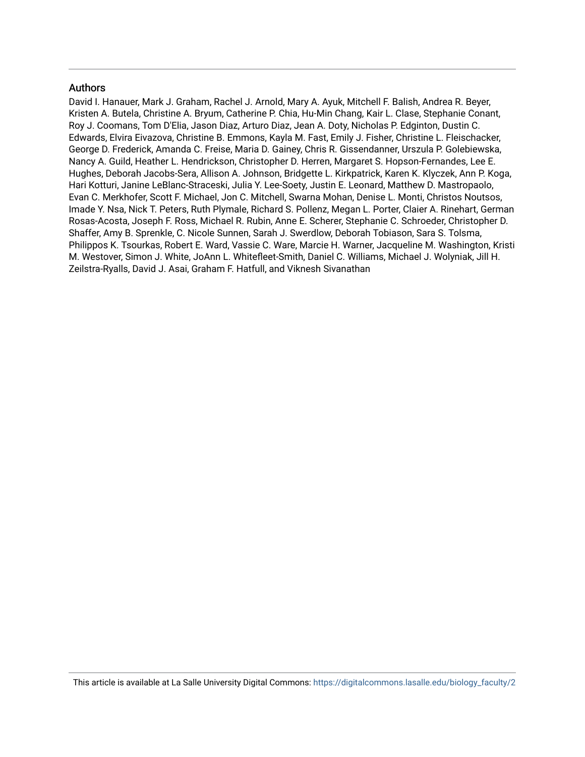# Authors

David I. Hanauer, Mark J. Graham, Rachel J. Arnold, Mary A. Ayuk, Mitchell F. Balish, Andrea R. Beyer, Kristen A. Butela, Christine A. Bryum, Catherine P. Chia, Hu-Min Chang, Kair L. Clase, Stephanie Conant, Roy J. Coomans, Tom D'Elia, Jason Diaz, Arturo Diaz, Jean A. Doty, Nicholas P. Edginton, Dustin C. Edwards, Elvira Eivazova, Christine B. Emmons, Kayla M. Fast, Emily J. Fisher, Christine L. Fleischacker, George D. Frederick, Amanda C. Freise, Maria D. Gainey, Chris R. Gissendanner, Urszula P. Golebiewska, Nancy A. Guild, Heather L. Hendrickson, Christopher D. Herren, Margaret S. Hopson-Fernandes, Lee E. Hughes, Deborah Jacobs-Sera, Allison A. Johnson, Bridgette L. Kirkpatrick, Karen K. Klyczek, Ann P. Koga, Hari Kotturi, Janine LeBlanc-Straceski, Julia Y. Lee-Soety, Justin E. Leonard, Matthew D. Mastropaolo, Evan C. Merkhofer, Scott F. Michael, Jon C. Mitchell, Swarna Mohan, Denise L. Monti, Christos Noutsos, Imade Y. Nsa, Nick T. Peters, Ruth Plymale, Richard S. Pollenz, Megan L. Porter, Claier A. Rinehart, German Rosas-Acosta, Joseph F. Ross, Michael R. Rubin, Anne E. Scherer, Stephanie C. Schroeder, Christopher D. Shaffer, Amy B. Sprenkle, C. Nicole Sunnen, Sarah J. Swerdlow, Deborah Tobiason, Sara S. Tolsma, Philippos K. Tsourkas, Robert E. Ward, Vassie C. Ware, Marcie H. Warner, Jacqueline M. Washington, Kristi M. Westover, Simon J. White, JoAnn L. Whitefleet-Smith, Daniel C. Williams, Michael J. Wolyniak, Jill H. Zeilstra-Ryalls, David J. Asai, Graham F. Hatfull, and Viknesh Sivanathan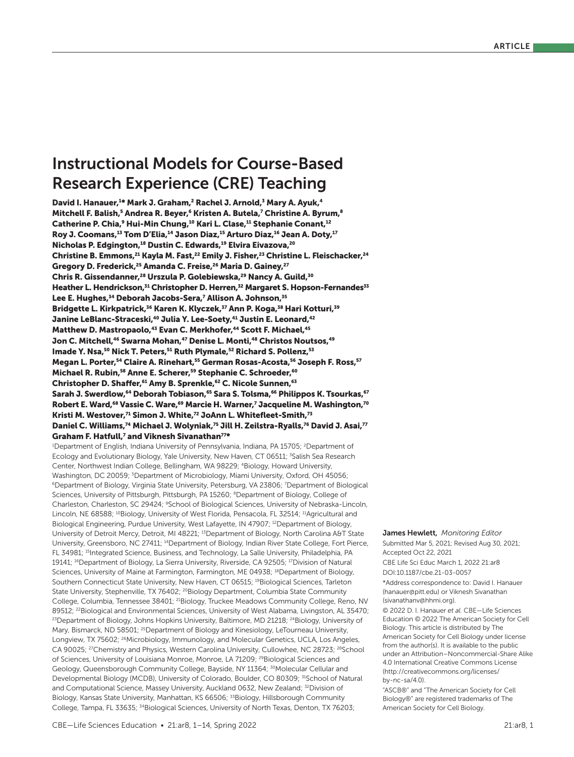# Instructional Models for Course-Based Research Experience (CRE) Teaching

David I. Hanauer,<sup>1\*</sup> Mark J. Graham,<sup>2</sup> Rachel J. Arnold,<sup>3</sup> Mary A. Ayuk,<sup>4</sup> Mitchell F. Balish,<sup>5</sup> Andrea R. Beyer,<sup>6</sup> Kristen A. Butela,<sup>7</sup> Christine A. Byrum,<sup>8</sup> Catherine P. Chia,<sup>9</sup> Hui-Min Chung,<sup>10</sup> Kari L. Clase,<sup>11</sup> Stephanie Conant,<sup>12</sup> Roy J. Coomans,<sup>13</sup> Tom D'Elia,<sup>14</sup> Jason Diaz,<sup>15</sup> Arturo Diaz,<sup>16</sup> Jean A. Doty,<sup>17</sup> Nicholas P. Edgington,<sup>18</sup> Dustin C. Edwards,<sup>19</sup> Elvira Eivazova,<sup>20</sup> Christine B. Emmons,<sup>21</sup> Kayla M. Fast,<sup>22</sup> Emily J. Fisher,<sup>23</sup> Christine L. Fleischacker,<sup>24</sup> Gregory D. Frederick,<sup>25</sup> Amanda C. Freise,<sup>26</sup> Maria D. Gainey,<sup>27</sup> Chris R. Gissendanner,<sup>28</sup> Urszula P. Golebiewska,<sup>29</sup> Nancy A. Guild,<sup>30</sup> Heather L. Hendrickson, 31 Christopher D. Herren, 32 Margaret S. Hopson-Fernandes<sup>33</sup> Lee E. Hughes,<sup>34</sup> Deborah Jacobs-Sera,<sup>7</sup> Allison A. Johnson,<sup>35</sup> Bridgette L. Kirkpatrick,<sup>36</sup> Karen K. Klyczek,<sup>37</sup> Ann P. Koga,<sup>38</sup> Hari Kotturi,<sup>39</sup> Janine LeBlanc-Straceski,<sup>40</sup> Julia Y. Lee-Soety,<sup>41</sup> Justin E. Leonard,<sup>42</sup> Matthew D. Mastropaolo,<sup>43</sup> Evan C. Merkhofer,<sup>44</sup> Scott F. Michael,<sup>45</sup> Jon C. Mitchell,<sup>46</sup> Swarna Mohan,<sup>47</sup> Denise L. Monti,<sup>48</sup> Christos Noutsos,<sup>49</sup> Imade Y. Nsa,<sup>50</sup> Nick T. Peters,<sup>51</sup> Ruth Plymale,<sup>52</sup> Richard S. Pollenz,<sup>53</sup> Megan L. Porter,<sup>54</sup> Claire A. Rinehart,<sup>55</sup> German Rosas-Acosta,<sup>56</sup> Joseph F. Ross,<sup>57</sup> Michael R. Rubin,<sup>58</sup> Anne E. Scherer,<sup>59</sup> Stephanie C. Schroeder,<sup>60</sup> Christopher D. Shaffer,<sup>61</sup> Amy B. Sprenkle,<sup>62</sup> C. Nicole Sunnen,<sup>63</sup> Sarah J. Swerdlow,<sup>64</sup> Deborah Tobiason,<sup>65</sup> Sara S. Tolsma,<sup>66</sup> Philippos K. Tsourkas,<sup>67</sup> Robert E. Ward,<sup>68</sup> Vassie C. Ware,<sup>69</sup> Marcie H. Warner,<sup>7</sup> Jacqueline M. Washington,<sup>70</sup> Kristi M. Westover,<sup>71</sup> Simon J. White,<sup>72</sup> JoAnn L. Whitefleet-Smith,<sup>73</sup> Daniel C. Williams,<sup>74</sup> Michael J. Wolyniak,<sup>75</sup> Jill H. Zeilstra-Ryalls,<sup>76</sup> David J. Asai,<sup>77</sup> Graham F. Hatfull, $^7$  and Viknesh Sivanathan $^{77*}$ 

<sup>1</sup>Department of English, Indiana University of Pennsylvania, Indiana, PA 15705; <sup>2</sup>Department of Ecology and Evolutionary Biology, Yale University, New Haven, CT 06511; <sup>3</sup>Salish Sea Research Center, Northwest Indian College, Bellingham, WA 98229; <sup>4</sup>Biology, Howard University, Washington, DC 20059; <sup>5</sup>Department of Microbiology, Miami University, Oxford, OH 45056; 6Department of Biology, Virginia State University, Petersburg, VA 23806; 7 Department of Biological Sciences, University of Pittsburgh, Pittsburgh, PA 15260; <sup>8</sup>Department of Biology, College of Charleston, Charleston, SC 29424; <sup>9</sup>School of Biological Sciences, University of Nebraska-Lincoln, Lincoln, NE 68588; <sup>10</sup>Biology, University of West Florida, Pensacola, FL 32514; <sup>11</sup>Agricultural and Biological Engineering, Purdue University, West Lafayette, IN 47907; <sup>12</sup>Department of Biology, University of Detroit Mercy, Detroit, MI 48221; <sup>13</sup>Department of Biology, North Carolina A&T State University, Greensboro, NC 27411; 14Department of Biology, Indian River State College, Fort Pierce, FL 34981; <sup>15</sup>Integrated Science, Business, and Technology, La Salle University, Philadelphia, PA 19141; <sup>16</sup>Department of Biology, La Sierra University, Riverside, CA 92505; <sup>17</sup>Division of Natural Sciences, University of Maine at Farmington, Farmington, ME 04938; <sup>18</sup>Department of Biology, Southern Connecticut State University, New Haven, CT 06515; <sup>19</sup>Biological Sciences, Tarleton State University, Stephenville, TX 76402; <sup>20</sup>Biology Department, Columbia State Community College, Columbia, Tennessee 38401; <sup>21</sup>Biology, Truckee Meadows Community College, Reno, NV 89512; <sup>22</sup>Biological and Environmental Sciences, University of West Alabama, Livingston, AL 35470; <sup>23</sup>Department of Biology, Johns Hopkins University, Baltimore, MD 21218; <sup>24</sup>Biology, University of Mary, Bismarck, ND 58501; <sup>25</sup>Department of Biology and Kinesiology, LeTourneau University, Longview, TX 75602; <sup>26</sup>Microbiology, Immunology, and Molecular Genetics, UCLA, Los Angeles, CA 90025; <sup>27</sup>Chemistry and Physics, Western Carolina University, Cullowhee, NC 28723; <sup>28</sup>School of Sciences, University of Louisiana Monroe, Monroe, LA 71209; <sup>29</sup>Biological Sciences and Geology, Queensborough Community College, Bayside, NY 11364; <sup>30</sup>Molecular Cellular and Developmental Biology (MCDB), University of Colorado, Boulder, CO 80309; <sup>31</sup>School of Natural and Computational Science, Massey University, Auckland 0632, New Zealand; <sup>32</sup>Division of Biology, Kansas State University, Manhattan, KS 66506; <sup>33</sup>Biology, Hillsborough Community College, Tampa, FL 33635; 34Biological Sciences, University of North Texas, Denton, TX 76203;

#### James Hewlett, *Monitoring Editor*

Submitted Mar 5, 2021; Revised Aug 30, 2021; Accepted Oct 22, 2021

DOI:10.1187/cbe.21-03-0057 CBE Life Sci Educ March 1, 2022 21:ar8

\*Address correspondence to: David I. Hanauer (hanauer@pitt.edu) or Viknesh Sivanathan (sivanathanv@hhmi.org).

© 2022 D. I. Hanauer *et al.* CBE—Life Sciences Education © 2022 The American Society for Cell Biology. This article is distributed by The American Society for Cell Biology under license from the author(s). It is available to the public under an Attribution–Noncommercial-Share Alike 4.0 International Creative Commons License (http://creativecommons.org/licenses/ by-nc-sa/4.0).

"ASCB®" and "The American Society for Cell Biology®" are registered trademarks of The American Society for Cell Biology.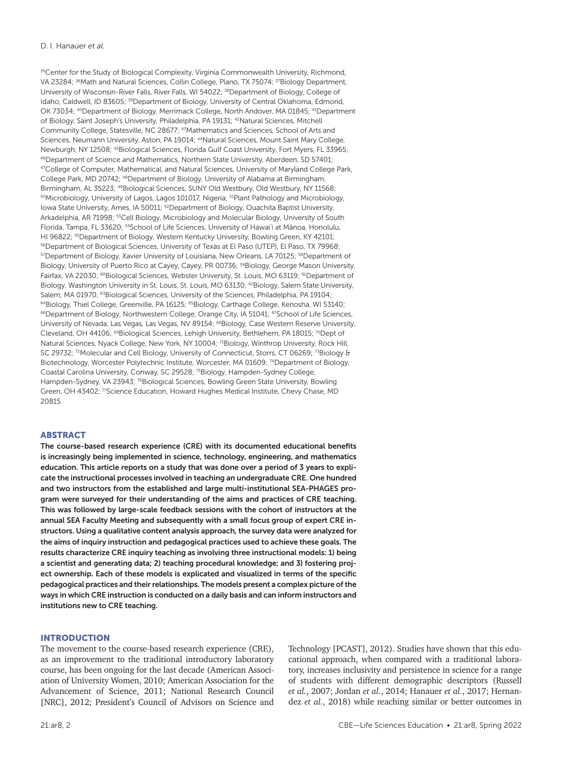<sup>35</sup>Center for the Study of Biological Complexity, Virginia Commonwealth University, Richmond, VA 23284; <sup>36</sup>Math and Natural Sciences, Collin College, Plano, TX 75074; <sup>37</sup>Biology Department, University of Wisconsin-River Falls, River Falls, WI 54022; <sup>38</sup>Department of Biology, College of Idaho, Caldwell, ID 83605; <sup>39</sup>Department of Biology, University of Central Oklahoma, Edmond, OK 73034; 40Department of Biology, Merrimack College, North Andover, MA 01845; 41Department of Biology, Saint Joseph's University, Philadelphia, PA 19131; 42Natural Sciences, Mitchell Community College, Statesville, NC 28677; 43Mathematics and Sciences, School of Arts and Sciences, Neumann University, Aston, PA 19014; <sup>44</sup>Natural Sciences, Mount Saint Mary College, Newburgh, NY 12508; 45Biological Sciences, Florida Gulf Coast University, Fort Myers, FL 33965; 46Department of Science and Mathematics, Northern State University, Aberdeen, SD 57401; 47College of Computer, Mathematical, and Natural Sciences, University of Maryland College Park, College Park, MD 20742; 48Department of Biology, University of Alabama at Birmingham, Birmingham, AL 35223; <sup>49</sup>Biological Sciences, SUNY Old Westbury, Old Westbury, NY 11568; 50 Microbiology, University of Lagos, Lagos 101017, Nigeria; <sup>51</sup> Plant Pathology and Microbiology, Iowa State University, Ames, IA 50011; <sup>52</sup>Department of Biology, Ouachita Baptist University, Arkadelphia, AR 71998; <sup>53</sup>Cell Biology, Microbiology and Molecular Biology, University of South Florida, Tampa, FL 33620; <sup>54</sup>School of Life Sciences, University of Hawai'i at Mānoa, Honolulu, HI 96822; 55Department of Biology, Western Kentucky University, Bowling Green, KY 42101; 56 Department of Biological Sciences, University of Texas at El Paso (UTEP), El Paso, TX 79968; 57 Department of Biology, Xavier University of Louisiana, New Orleans, LA 70125; <sup>58</sup> Department of Biology, University of Puerto Rico at Cayey, Cayey, PR 00736; <sup>59</sup>Biology, George Mason University, Fairfax, VA 22030; <sup>60</sup>Biological Sciences, Webster University, St. Louis, MO 63119; <sup>61</sup>Department of Biology, Washington University in St. Louis, St. Louis, MO 63130; <sup>62</sup>Biology, Salem State University, Salem, MA 01970; <sup>63</sup>Biological Sciences, University of the Sciences, Philadelphia, PA 19104; 64Biology, Thiel College, Greenville, PA 16125; <sup>65</sup>Biology, Carthage College, Kenosha, WI 53140; <sup>66</sup>Department of Biology, Northwestern College, Orange City, IA 51041; <sup>67</sup>School of Life Sciences, University of Nevada, Las Vegas, Las Vegas, NV 89154; <sup>68</sup>Biology, Case Western Reserve University, Cleveland, OH 44106; <sup>69</sup>Biological Sciences, Lehigh University, Bethlehem, PA 18015; <sup>70</sup>Dept of Natural Sciences, Nyack College, New York, NY 10004; <sup>71</sup>Biology, Winthrop University, Rock Hill, SC 29732; 72Molecular and Cell Biology, University of Connecticut, Storrs, CT 06269; 73Biology & Biotechnology, Worcester Polytechnic Institute, Worcester, MA 01609; <sup>74</sup>Department of Biology, Coastal Carolina University, Conway, SC 29528; 75Biology, Hampden-Sydney College, Hampden-Sydney, VA 23943; <sup>76</sup>Biological Sciences, Bowling Green State University, Bowling Green, OH 43402; <sup>77</sup>Science Education, Howard Hughes Medical Institute, Chevy Chase, MD 20815

### ABSTRACT

The course-based research experience (CRE) with its documented educational benefits is increasingly being implemented in science, technology, engineering, and mathematics education. This article reports on a study that was done over a period of 3 years to explicate the instructional processes involved in teaching an undergraduate CRE. One hundred and two instructors from the established and large multi-institutional SEA-PHAGES program were surveyed for their understanding of the aims and practices of CRE teaching. This was followed by large-scale feedback sessions with the cohort of instructors at the annual SEA Faculty Meeting and subsequently with a small focus group of expert CRE instructors. Using a qualitative content analysis approach, the survey data were analyzed for the aims of inquiry instruction and pedagogical practices used to achieve these goals. The results characterize CRE inquiry teaching as involving three instructional models: 1) being a scientist and generating data; 2) teaching procedural knowledge; and 3) fostering project ownership. Each of these models is explicated and visualized in terms of the specific pedagogical practices and their relationships. The models present a complex picture of the ways in which CRE instruction is conducted on a daily basis and can inform instructors and institutions new to CRE teaching.

#### INTRODUCTION

The movement to the course-based research experience (CRE), as an improvement to the traditional introductory laboratory course, has been ongoing for the last decade (American Association of University Women, 2010; American Association for the Advancement of Science, 2011; National Research Council [NRC], 2012; President's Council of Advisors on Science and

Technology [PCAST], 2012). Studies have shown that this educational approach, when compared with a traditional laboratory, increases inclusivity and persistence in science for a range of students with different demographic descriptors (Russell *et al.*, 2007; Jordan *et al.*, 2014; Hanauer *et al.*, 2017; Hernandez *et al.*, 2018) while reaching similar or better outcomes in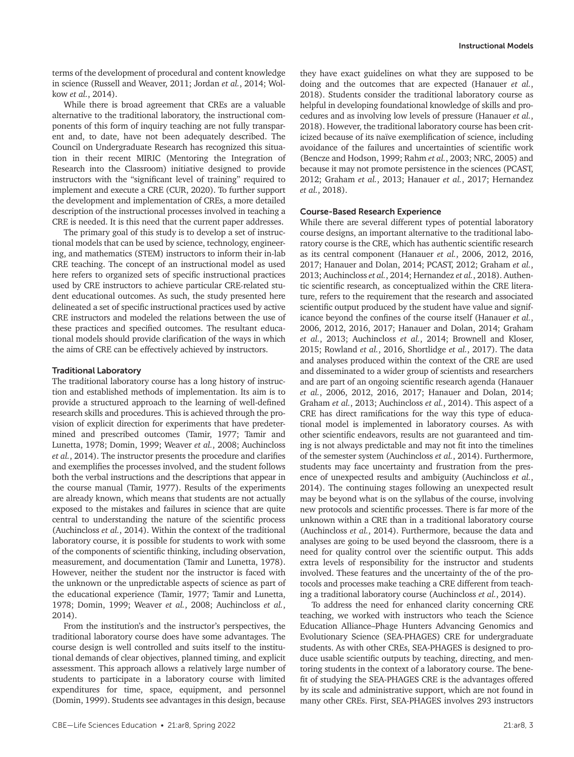terms of the development of procedural and content knowledge in science (Russell and Weaver, 2011; Jordan *et al.*, 2014; Wolkow *et al.*, 2014).

While there is broad agreement that CREs are a valuable alternative to the traditional laboratory, the instructional components of this form of inquiry teaching are not fully transparent and, to date, have not been adequately described. The Council on Undergraduate Research has recognized this situation in their recent MIRIC (Mentoring the Integration of Research into the Classroom) initiative designed to provide instructors with the "significant level of training" required to implement and execute a CRE (CUR, 2020). To further support the development and implementation of CREs, a more detailed description of the instructional processes involved in teaching a CRE is needed. It is this need that the current paper addresses.

The primary goal of this study is to develop a set of instructional models that can be used by science, technology, engineering, and mathematics (STEM) instructors to inform their in-lab CRE teaching. The concept of an instructional model as used here refers to organized sets of specific instructional practices used by CRE instructors to achieve particular CRE-related student educational outcomes. As such, the study presented here delineated a set of specific instructional practices used by active CRE instructors and modeled the relations between the use of these practices and specified outcomes. The resultant educational models should provide clarification of the ways in which the aims of CRE can be effectively achieved by instructors.

#### Traditional Laboratory

The traditional laboratory course has a long history of instruction and established methods of implementation. Its aim is to provide a structured approach to the learning of well-defined research skills and procedures. This is achieved through the provision of explicit direction for experiments that have predetermined and prescribed outcomes (Tamir, 1977; Tamir and Lunetta, 1978; Domin, 1999; Weaver *et al.*, 2008; Auchincloss *et al.*, 2014). The instructor presents the procedure and clarifies and exemplifies the processes involved, and the student follows both the verbal instructions and the descriptions that appear in the course manual (Tamir, 1977). Results of the experiments are already known, which means that students are not actually exposed to the mistakes and failures in science that are quite central to understanding the nature of the scientific process (Auchincloss *et al.*, 2014). Within the context of the traditional laboratory course, it is possible for students to work with some of the components of scientific thinking, including observation, measurement, and documentation (Tamir and Lunetta, 1978). However, neither the student nor the instructor is faced with the unknown or the unpredictable aspects of science as part of the educational experience (Tamir, 1977; Tamir and Lunetta, 1978; Domin, 1999; Weaver *et al.*, 2008; Auchincloss *et al.*, 2014).

From the institution's and the instructor's perspectives, the traditional laboratory course does have some advantages. The course design is well controlled and suits itself to the institutional demands of clear objectives, planned timing, and explicit assessment. This approach allows a relatively large number of students to participate in a laboratory course with limited expenditures for time, space, equipment, and personnel (Domin, 1999). Students see advantages in this design, because

they have exact guidelines on what they are supposed to be doing and the outcomes that are expected (Hanauer *et al.*, 2018). Students consider the traditional laboratory course as helpful in developing foundational knowledge of skills and procedures and as involving low levels of pressure (Hanauer *et al.*, 2018). However, the traditional laboratory course has been criticized because of its naïve exemplification of science, including avoidance of the failures and uncertainties of scientific work (Bencze and Hodson, 1999; Rahm *et al.*, 2003; NRC, 2005) and because it may not promote persistence in the sciences (PCAST, 2012; Graham *et al.*, 2013; Hanauer *et al.*, 2017; Hernandez *et al.*, 2018).

#### Course-Based Research Experience

While there are several different types of potential laboratory course designs, an important alternative to the traditional laboratory course is the CRE, which has authentic scientific research as its central component (Hanauer *et al.*, 2006, 2012, 2016, 2017; Hanauer and Dolan, 2014; PCAST, 2012; Graham *et al.*, 2013; Auchincloss *et al.*, 2014; Hernandez *et al.*, 2018). Authentic scientific research, as conceptualized within the CRE literature, refers to the requirement that the research and associated scientific output produced by the student have value and significance beyond the confines of the course itself (Hanauer *et al.*, 2006, 2012, 2016, 2017; Hanauer and Dolan, 2014; Graham *et al.*, 2013; Auchincloss *et al.*, 2014; Brownell and Kloser, 2015; Rowland *et al.*, 2016, Shortlidge *et al.*, 2017). The data and analyses produced within the context of the CRE are used and disseminated to a wider group of scientists and researchers and are part of an ongoing scientific research agenda (Hanauer *et al.*, 2006, 2012, 2016, 2017; Hanauer and Dolan, 2014; Graham *et al.*, 2013; Auchincloss *et al.*, 2014). This aspect of a CRE has direct ramifications for the way this type of educational model is implemented in laboratory courses. As with other scientific endeavors, results are not guaranteed and timing is not always predictable and may not fit into the timelines of the semester system (Auchincloss *et al.*, 2014). Furthermore, students may face uncertainty and frustration from the presence of unexpected results and ambiguity (Auchincloss *et al.*, 2014). The continuing stages following an unexpected result may be beyond what is on the syllabus of the course, involving new protocols and scientific processes. There is far more of the unknown within a CRE than in a traditional laboratory course (Auchincloss *et al.*, 2014). Furthermore, because the data and analyses are going to be used beyond the classroom, there is a need for quality control over the scientific output. This adds extra levels of responsibility for the instructor and students involved. These features and the uncertainty of the of the protocols and processes make teaching a CRE different from teaching a traditional laboratory course (Auchincloss *et al.*, 2014).

To address the need for enhanced clarity concerning CRE teaching, we worked with instructors who teach the Science Education Alliance–Phage Hunters Advancing Genomics and Evolutionary Science (SEA-PHAGES) CRE for undergraduate students. As with other CREs, SEA-PHAGES is designed to produce usable scientific outputs by teaching, directing, and mentoring students in the context of a laboratory course. The benefit of studying the SEA-PHAGES CRE is the advantages offered by its scale and administrative support, which are not found in many other CREs. First, SEA-PHAGES involves 293 instructors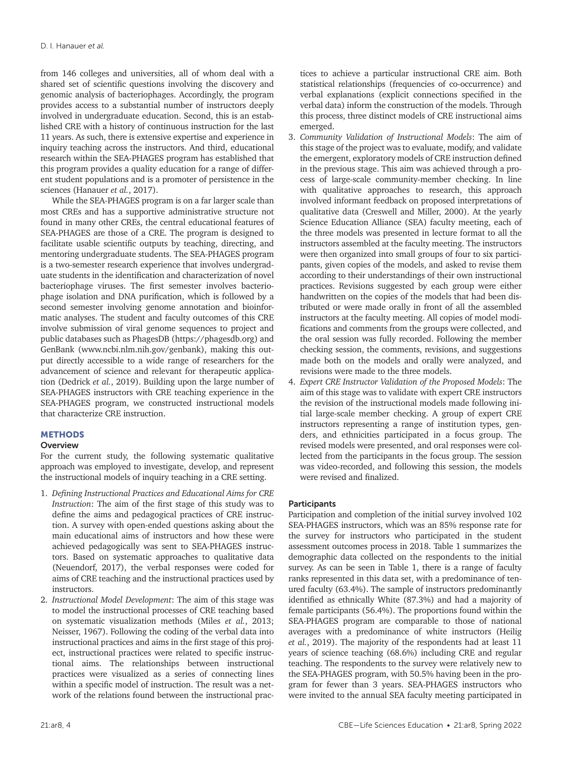from 146 colleges and universities, all of whom deal with a shared set of scientific questions involving the discovery and genomic analysis of bacteriophages. Accordingly, the program provides access to a substantial number of instructors deeply involved in undergraduate education. Second, this is an established CRE with a history of continuous instruction for the last 11 years. As such, there is extensive expertise and experience in inquiry teaching across the instructors. And third, educational research within the SEA-PHAGES program has established that this program provides a quality education for a range of different student populations and is a promoter of persistence in the sciences (Hanauer *et al.*, 2017).

While the SEA-PHAGES program is on a far larger scale than most CREs and has a supportive administrative structure not found in many other CREs, the central educational features of SEA-PHAGES are those of a CRE. The program is designed to facilitate usable scientific outputs by teaching, directing, and mentoring undergraduate students. The SEA-PHAGES program is a two-semester research experience that involves undergraduate students in the identification and characterization of novel bacteriophage viruses. The first semester involves bacteriophage isolation and DNA purification, which is followed by a second semester involving genome annotation and bioinformatic analyses. The student and faculty outcomes of this CRE involve submission of viral genome sequences to project and public databases such as PhagesDB (https://phagesdb.org) and GenBank (www.ncbi.nlm.nih.gov/genbank), making this output directly accessible to a wide range of researchers for the advancement of science and relevant for therapeutic application (Dedrick *et al.*, 2019). Building upon the large number of SEA-PHAGES instructors with CRE teaching experience in the SEA-PHAGES program, we constructed instructional models that characterize CRE instruction.

# **METHODS**

# **Overview**

For the current study, the following systematic qualitative approach was employed to investigate, develop, and represent the instructional models of inquiry teaching in a CRE setting.

- 1. *Defining Instructional Practices and Educational Aims for CRE Instruction*: The aim of the first stage of this study was to define the aims and pedagogical practices of CRE instruction. A survey with open-ended questions asking about the main educational aims of instructors and how these were achieved pedagogically was sent to SEA-PHAGES instructors. Based on systematic approaches to qualitative data (Neuendorf, 2017), the verbal responses were coded for aims of CRE teaching and the instructional practices used by instructors.
- 2. *Instructional Model Development*: The aim of this stage was to model the instructional processes of CRE teaching based on systematic visualization methods (Miles *et al.*, 2013; Neisser, 1967). Following the coding of the verbal data into instructional practices and aims in the first stage of this project, instructional practices were related to specific instructional aims. The relationships between instructional practices were visualized as a series of connecting lines within a specific model of instruction. The result was a network of the relations found between the instructional prac-

tices to achieve a particular instructional CRE aim. Both statistical relationships (frequencies of co-occurrence) and verbal explanations (explicit connections specified in the verbal data) inform the construction of the models. Through this process, three distinct models of CRE instructional aims emerged.

- 3. *Community Validation of Instructional Models*: The aim of this stage of the project was to evaluate, modify, and validate the emergent, exploratory models of CRE instruction defined in the previous stage. This aim was achieved through a process of large-scale community-member checking. In line with qualitative approaches to research, this approach involved informant feedback on proposed interpretations of qualitative data (Creswell and Miller, 2000). At the yearly Science Education Alliance (SEA) faculty meeting, each of the three models was presented in lecture format to all the instructors assembled at the faculty meeting. The instructors were then organized into small groups of four to six participants, given copies of the models, and asked to revise them according to their understandings of their own instructional practices. Revisions suggested by each group were either handwritten on the copies of the models that had been distributed or were made orally in front of all the assembled instructors at the faculty meeting. All copies of model modifications and comments from the groups were collected, and the oral session was fully recorded. Following the member checking session, the comments, revisions, and suggestions made both on the models and orally were analyzed, and revisions were made to the three models.
- 4. *Expert CRE Instructor Validation of the Proposed Models*: The aim of this stage was to validate with expert CRE instructors the revision of the instructional models made following initial large-scale member checking. A group of expert CRE instructors representing a range of institution types, genders, and ethnicities participated in a focus group. The revised models were presented, and oral responses were collected from the participants in the focus group. The session was video-recorded, and following this session, the models were revised and finalized.

# **Participants**

Participation and completion of the initial survey involved 102 SEA-PHAGES instructors, which was an 85% response rate for the survey for instructors who participated in the student assessment outcomes process in 2018. Table 1 summarizes the demographic data collected on the respondents to the initial survey. As can be seen in Table 1, there is a range of faculty ranks represented in this data set, with a predominance of tenured faculty (63.4%). The sample of instructors predominantly identified as ethnically White (87.3%) and had a majority of female participants (56.4%). The proportions found within the SEA-PHAGES program are comparable to those of national averages with a predominance of white instructors (Heilig *et al.*, 2019). The majority of the respondents had at least 11 years of science teaching (68.6%) including CRE and regular teaching. The respondents to the survey were relatively new to the SEA-PHAGES program, with 50.5% having been in the program for fewer than 3 years. SEA-PHAGES instructors who were invited to the annual SEA faculty meeting participated in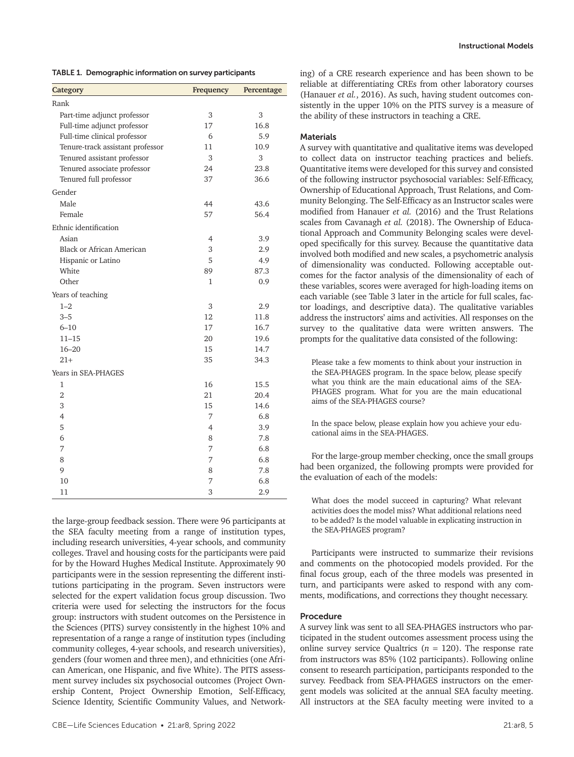TABLE 1. Demographic information on survey participants

| Category                         | Frequency | Percentage |  |
|----------------------------------|-----------|------------|--|
| Rank                             |           |            |  |
| Part-time adjunct professor      | 3         | 3          |  |
| Full-time adjunct professor      | 17        | 16.8       |  |
| Full-time clinical professor     | 6         | 5.9        |  |
| Tenure-track assistant professor | 11        | 10.9       |  |
| Tenured assistant professor      | 3         | 3          |  |
| Tenured associate professor      | 24        | 23.8       |  |
| Tenured full professor           | 37        | 36.6       |  |
| Gender                           |           |            |  |
| Male                             | 44        | 43.6       |  |
| Female                           | 57        | 56.4       |  |
| Ethnic identification            |           |            |  |
| Asian                            | 4         | 3.9        |  |
| <b>Black or African American</b> | 3         | 2.9        |  |
| Hispanic or Latino               | 5         | 4.9        |  |
| White                            | 89        | 87.3       |  |
| Other                            | 1         | 0.9        |  |
| Years of teaching                |           |            |  |
| $1 - 2$                          | 3         | 2.9        |  |
| $3 - 5$                          | 12        | 11.8       |  |
| $6 - 10$                         | 17        | 16.7       |  |
| $11 - 15$                        | 20        | 19.6       |  |
| $16 - 20$                        | 15        | 14.7       |  |
| $21+$                            | 35        | 34.3       |  |
| Years in SEA-PHAGES              |           |            |  |
| 1                                | 16        | 15.5       |  |
| $\overline{2}$                   | 21        | 20.4       |  |
| 3                                | 15        | 14.6       |  |
| $\overline{4}$                   | 7         | 6.8        |  |
| 5                                | 4         | 3.9        |  |
| 6                                | 8         | 7.8        |  |
| 7                                | 7         | 6.8        |  |
| 8                                | 7         | 6.8        |  |
| 9                                | 8         | 7.8        |  |
| 10                               | 7         | 6.8        |  |
| 11                               | 3         | 2.9        |  |

the large-group feedback session. There were 96 participants at the SEA faculty meeting from a range of institution types, including research universities, 4-year schools, and community colleges. Travel and housing costs for the participants were paid for by the Howard Hughes Medical Institute. Approximately 90 participants were in the session representing the different institutions participating in the program. Seven instructors were selected for the expert validation focus group discussion. Two criteria were used for selecting the instructors for the focus group: instructors with student outcomes on the Persistence in the Sciences (PITS) survey consistently in the highest 10% and representation of a range a range of institution types (including community colleges, 4-year schools, and research universities), genders (four women and three men), and ethnicities (one African American, one Hispanic, and five White). The PITS assessment survey includes six psychosocial outcomes (Project Ownership Content, Project Ownership Emotion, Self-Efficacy, Science Identity, Scientific Community Values, and Network-

ing) of a CRE research experience and has been shown to be reliable at differentiating CREs from other laboratory courses (Hanauer *et al.*, 2016). As such, having student outcomes consistently in the upper 10% on the PITS survey is a measure of the ability of these instructors in teaching a CRE.

### **Materials**

A survey with quantitative and qualitative items was developed to collect data on instructor teaching practices and beliefs. Quantitative items were developed for this survey and consisted of the following instructor psychosocial variables: Self-Efficacy, Ownership of Educational Approach, Trust Relations, and Community Belonging. The Self-Efficacy as an Instructor scales were modified from Hanauer *et al.* (2016) and the Trust Relations scales from Cavanagh *et al.* (2018). The Ownership of Educational Approach and Community Belonging scales were developed specifically for this survey. Because the quantitative data involved both modified and new scales, a psychometric analysis of dimensionality was conducted. Following acceptable outcomes for the factor analysis of the dimensionality of each of these variables, scores were averaged for high-loading items on each variable (see Table 3 later in the article for full scales, factor loadings, and descriptive data). The qualitative variables address the instructors' aims and activities. All responses on the survey to the qualitative data were written answers. The prompts for the qualitative data consisted of the following:

Please take a few moments to think about your instruction in the SEA-PHAGES program. In the space below, please specify what you think are the main educational aims of the SEA-PHAGES program. What for you are the main educational aims of the SEA-PHAGES course?

In the space below, please explain how you achieve your educational aims in the SEA-PHAGES.

For the large-group member checking, once the small groups had been organized, the following prompts were provided for the evaluation of each of the models:

What does the model succeed in capturing? What relevant activities does the model miss? What additional relations need to be added? Is the model valuable in explicating instruction in the SEA-PHAGES program?

Participants were instructed to summarize their revisions and comments on the photocopied models provided. For the final focus group, each of the three models was presented in turn, and participants were asked to respond with any comments, modifications, and corrections they thought necessary.

#### Procedure

A survey link was sent to all SEA-PHAGES instructors who participated in the student outcomes assessment process using the online survey service Qualtrics  $(n = 120)$ . The response rate from instructors was 85% (102 participants). Following online consent to research participation, participants responded to the survey. Feedback from SEA-PHAGES instructors on the emergent models was solicited at the annual SEA faculty meeting. All instructors at the SEA faculty meeting were invited to a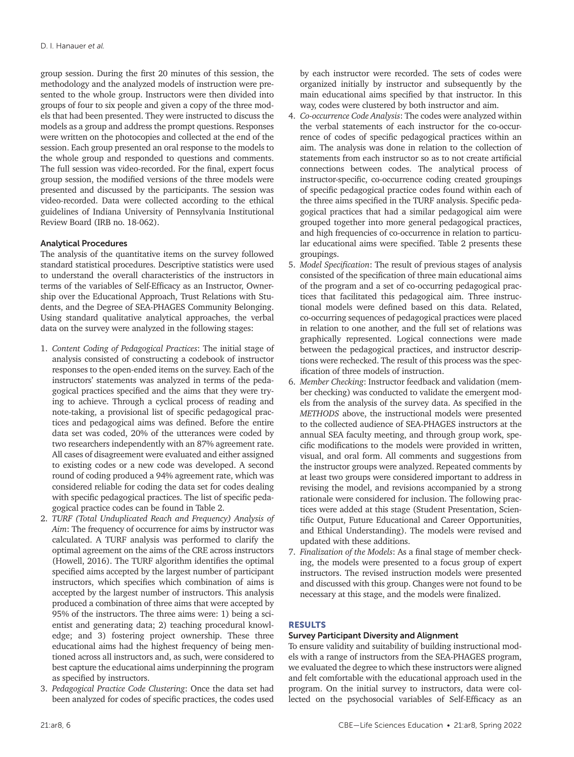group session. During the first 20 minutes of this session, the methodology and the analyzed models of instruction were presented to the whole group. Instructors were then divided into groups of four to six people and given a copy of the three models that had been presented. They were instructed to discuss the models as a group and address the prompt questions. Responses were written on the photocopies and collected at the end of the session. Each group presented an oral response to the models to the whole group and responded to questions and comments. The full session was video-recorded. For the final, expert focus group session, the modified versions of the three models were presented and discussed by the participants. The session was video-recorded. Data were collected according to the ethical guidelines of Indiana University of Pennsylvania Institutional Review Board (IRB no. 18-062).

## Analytical Procedures

The analysis of the quantitative items on the survey followed standard statistical procedures. Descriptive statistics were used to understand the overall characteristics of the instructors in terms of the variables of Self-Efficacy as an Instructor, Ownership over the Educational Approach, Trust Relations with Students, and the Degree of SEA-PHAGES Community Belonging. Using standard qualitative analytical approaches, the verbal data on the survey were analyzed in the following stages:

- 1. *Content Coding of Pedagogical Practices*: The initial stage of analysis consisted of constructing a codebook of instructor responses to the open-ended items on the survey. Each of the instructors' statements was analyzed in terms of the pedagogical practices specified and the aims that they were trying to achieve. Through a cyclical process of reading and note-taking, a provisional list of specific pedagogical practices and pedagogical aims was defined. Before the entire data set was coded, 20% of the utterances were coded by two researchers independently with an 87% agreement rate. All cases of disagreement were evaluated and either assigned to existing codes or a new code was developed. A second round of coding produced a 94% agreement rate, which was considered reliable for coding the data set for codes dealing with specific pedagogical practices. The list of specific pedagogical practice codes can be found in Table 2.
- 2. *TURF (Total Unduplicated Reach and Frequency) Analysis of Aim*: The frequency of occurrence for aims by instructor was calculated. A TURF analysis was performed to clarify the optimal agreement on the aims of the CRE across instructors (Howell, 2016). The TURF algorithm identifies the optimal specified aims accepted by the largest number of participant instructors, which specifies which combination of aims is accepted by the largest number of instructors. This analysis produced a combination of three aims that were accepted by 95% of the instructors. The three aims were: 1) being a scientist and generating data; 2) teaching procedural knowledge; and 3) fostering project ownership. These three educational aims had the highest frequency of being mentioned across all instructors and, as such, were considered to best capture the educational aims underpinning the program as specified by instructors.
- 3. *Pedagogical Practice Code Clustering*: Once the data set had been analyzed for codes of specific practices, the codes used

by each instructor were recorded. The sets of codes were organized initially by instructor and subsequently by the main educational aims specified by that instructor. In this way, codes were clustered by both instructor and aim.

- 4. *Co-occurrence Code Analysis*: The codes were analyzed within the verbal statements of each instructor for the co-occurrence of codes of specific pedagogical practices within an aim. The analysis was done in relation to the collection of statements from each instructor so as to not create artificial connections between codes. The analytical process of instructor-specific, co-occurrence coding created groupings of specific pedagogical practice codes found within each of the three aims specified in the TURF analysis. Specific pedagogical practices that had a similar pedagogical aim were grouped together into more general pedagogical practices, and high frequencies of co-occurrence in relation to particular educational aims were specified. Table 2 presents these groupings.
- 5. *Model Specification*: The result of previous stages of analysis consisted of the specification of three main educational aims of the program and a set of co-occurring pedagogical practices that facilitated this pedagogical aim. Three instructional models were defined based on this data. Related, co-occurring sequences of pedagogical practices were placed in relation to one another, and the full set of relations was graphically represented. Logical connections were made between the pedagogical practices, and instructor descriptions were rechecked. The result of this process was the specification of three models of instruction.
- 6. *Member Checking*: Instructor feedback and validation (member checking) was conducted to validate the emergent models from the analysis of the survey data. As specified in the *METHODS* above, the instructional models were presented to the collected audience of SEA-PHAGES instructors at the annual SEA faculty meeting, and through group work, specific modifications to the models were provided in written, visual, and oral form. All comments and suggestions from the instructor groups were analyzed. Repeated comments by at least two groups were considered important to address in revising the model, and revisions accompanied by a strong rationale were considered for inclusion. The following practices were added at this stage (Student Presentation, Scientific Output, Future Educational and Career Opportunities, and Ethical Understanding). The models were revised and updated with these additions.
- 7. *Finalization of the Models*: As a final stage of member checking, the models were presented to a focus group of expert instructors. The revised instruction models were presented and discussed with this group. Changes were not found to be necessary at this stage, and the models were finalized.

# RESULTS

# Survey Participant Diversity and Alignment

To ensure validity and suitability of building instructional models with a range of instructors from the SEA-PHAGES program, we evaluated the degree to which these instructors were aligned and felt comfortable with the educational approach used in the program. On the initial survey to instructors, data were collected on the psychosocial variables of Self-Efficacy as an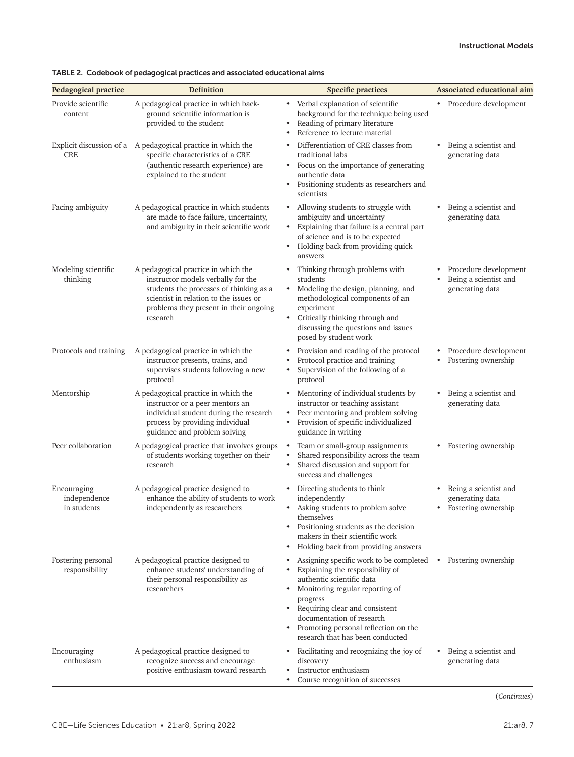| Provide scientific<br>A pedagogical practice in which back-<br>• Verbal explanation of scientific<br>• Procedure development<br>background for the technique being used<br>ground scientific information is<br>content<br>Reading of primary literature<br>provided to the student<br>Reference to lecture material<br>$\bullet$<br>Differentiation of CRE classes from<br>Explicit discussion of a A pedagogical practice in which the<br>Being a scientist and<br>specific characteristics of a CRE<br><b>CRE</b><br>traditional labs<br>generating data<br>(authentic research experience) are<br>Focus on the importance of generating<br>$\bullet$<br>explained to the student<br>authentic data<br>Positioning students as researchers and<br>$\bullet$<br>scientists<br>Allowing students to struggle with<br>Facing ambiguity<br>A pedagogical practice in which students<br>Being a scientist and<br>$\bullet$<br>are made to face failure, uncertainty,<br>ambiguity and uncertainty<br>generating data<br>Explaining that failure is a central part<br>and ambiguity in their scientific work<br>$\bullet$<br>of science and is to be expected<br>Holding back from providing quick<br>$\bullet$<br>answers<br>Modeling scientific<br>Thinking through problems with<br>A pedagogical practice in which the<br>Procedure development<br>$\bullet$<br>instructor models verbally for the<br>Being a scientist and<br>thinking<br>students<br>students the processes of thinking as a<br>Modeling the design, planning, and<br>generating data<br>$\bullet$<br>methodological components of an<br>scientist in relation to the issues or<br>problems they present in their ongoing<br>experiment<br>Critically thinking through and<br>research<br>$\bullet$<br>discussing the questions and issues<br>posed by student work<br>A pedagogical practice in which the<br>Provision and reading of the protocol<br>Protocols and training<br>Procedure development<br>$\bullet$<br>instructor presents, trains, and<br>Protocol practice and training<br>Fostering ownership<br>Supervision of the following of a<br>supervises students following a new<br>$\bullet$<br>protocol<br>protocol<br>A pedagogical practice in which the<br>Mentoring of individual students by<br>Being a scientist and<br>Mentorship<br>$\bullet$<br>instructor or a peer mentors an<br>instructor or teaching assistant<br>generating data<br>individual student during the research<br>Peer mentoring and problem solving<br>$\bullet$<br>Provision of specific individualized<br>process by providing individual<br>$\bullet$<br>guidance and problem solving<br>guidance in writing<br>Peer collaboration<br>A pedagogical practice that involves groups<br>Team or small-group assignments<br>Fostering ownership<br>Shared responsibility across the team<br>of students working together on their<br>$\bullet$<br>Shared discussion and support for<br>research<br>$\bullet$<br>success and challenges<br>A pedagogical practice designed to<br>Encouraging<br>Directing students to think<br>Being a scientist and<br>$\bullet$<br>independence<br>enhance the ability of students to work<br>independently<br>generating data<br>in students<br>independently as researchers<br>Asking students to problem solve<br>• Fostering ownership<br>$\bullet$<br>themselves<br>Positioning students as the decision<br>makers in their scientific work<br>Holding back from providing answers<br>A pedagogical practice designed to<br>Assigning specific work to be completed<br>Fostering ownership<br>Fostering personal<br>$\bullet$<br>enhance students' understanding of<br>Explaining the responsibility of<br>responsibility<br>their personal responsibility as<br>authentic scientific data<br>researchers<br>Monitoring regular reporting of<br>progress<br>Requiring clear and consistent<br>$\bullet$<br>documentation of research<br>Promoting personal reflection on the<br>research that has been conducted<br>A pedagogical practice designed to<br>Facilitating and recognizing the joy of<br>Encouraging<br>Being a scientist and<br>$\bullet$<br>enthusiasm<br>recognize success and encourage<br>discovery<br>generating data<br>Instructor enthusiasm<br>positive enthusiasm toward research<br>Course recognition of successes | Pedagogical practice | Definition | Associated educational aim |  |  |
|---------------------------------------------------------------------------------------------------------------------------------------------------------------------------------------------------------------------------------------------------------------------------------------------------------------------------------------------------------------------------------------------------------------------------------------------------------------------------------------------------------------------------------------------------------------------------------------------------------------------------------------------------------------------------------------------------------------------------------------------------------------------------------------------------------------------------------------------------------------------------------------------------------------------------------------------------------------------------------------------------------------------------------------------------------------------------------------------------------------------------------------------------------------------------------------------------------------------------------------------------------------------------------------------------------------------------------------------------------------------------------------------------------------------------------------------------------------------------------------------------------------------------------------------------------------------------------------------------------------------------------------------------------------------------------------------------------------------------------------------------------------------------------------------------------------------------------------------------------------------------------------------------------------------------------------------------------------------------------------------------------------------------------------------------------------------------------------------------------------------------------------------------------------------------------------------------------------------------------------------------------------------------------------------------------------------------------------------------------------------------------------------------------------------------------------------------------------------------------------------------------------------------------------------------------------------------------------------------------------------------------------------------------------------------------------------------------------------------------------------------------------------------------------------------------------------------------------------------------------------------------------------------------------------------------------------------------------------------------------------------------------------------------------------------------------------------------------------------------------------------------------------------------------------------------------------------------------------------------------------------------------------------------------------------------------------------------------------------------------------------------------------------------------------------------------------------------------------------------------------------------------------------------------------------------------------------------------------------------------------------------------------------------------------------------------------------------------------------------------------------------------------------------------------------------------------------------------------------------------------------------------------------------------------------------------------------------------------------------------------------------------------------------------------------------------------------------------------------------------------------------------------------------------------------------------------------------------------------------------------------------------------------------------------------------------------------------------------|----------------------|------------|----------------------------|--|--|
|                                                                                                                                                                                                                                                                                                                                                                                                                                                                                                                                                                                                                                                                                                                                                                                                                                                                                                                                                                                                                                                                                                                                                                                                                                                                                                                                                                                                                                                                                                                                                                                                                                                                                                                                                                                                                                                                                                                                                                                                                                                                                                                                                                                                                                                                                                                                                                                                                                                                                                                                                                                                                                                                                                                                                                                                                                                                                                                                                                                                                                                                                                                                                                                                                                                                                                                                                                                                                                                                                                                                                                                                                                                                                                                                                                                                                                                                                                                                                                                                                                                                                                                                                                                                                                                                                                                                             |                      |            |                            |  |  |
|                                                                                                                                                                                                                                                                                                                                                                                                                                                                                                                                                                                                                                                                                                                                                                                                                                                                                                                                                                                                                                                                                                                                                                                                                                                                                                                                                                                                                                                                                                                                                                                                                                                                                                                                                                                                                                                                                                                                                                                                                                                                                                                                                                                                                                                                                                                                                                                                                                                                                                                                                                                                                                                                                                                                                                                                                                                                                                                                                                                                                                                                                                                                                                                                                                                                                                                                                                                                                                                                                                                                                                                                                                                                                                                                                                                                                                                                                                                                                                                                                                                                                                                                                                                                                                                                                                                                             |                      |            |                            |  |  |
|                                                                                                                                                                                                                                                                                                                                                                                                                                                                                                                                                                                                                                                                                                                                                                                                                                                                                                                                                                                                                                                                                                                                                                                                                                                                                                                                                                                                                                                                                                                                                                                                                                                                                                                                                                                                                                                                                                                                                                                                                                                                                                                                                                                                                                                                                                                                                                                                                                                                                                                                                                                                                                                                                                                                                                                                                                                                                                                                                                                                                                                                                                                                                                                                                                                                                                                                                                                                                                                                                                                                                                                                                                                                                                                                                                                                                                                                                                                                                                                                                                                                                                                                                                                                                                                                                                                                             |                      |            |                            |  |  |
|                                                                                                                                                                                                                                                                                                                                                                                                                                                                                                                                                                                                                                                                                                                                                                                                                                                                                                                                                                                                                                                                                                                                                                                                                                                                                                                                                                                                                                                                                                                                                                                                                                                                                                                                                                                                                                                                                                                                                                                                                                                                                                                                                                                                                                                                                                                                                                                                                                                                                                                                                                                                                                                                                                                                                                                                                                                                                                                                                                                                                                                                                                                                                                                                                                                                                                                                                                                                                                                                                                                                                                                                                                                                                                                                                                                                                                                                                                                                                                                                                                                                                                                                                                                                                                                                                                                                             |                      |            |                            |  |  |
|                                                                                                                                                                                                                                                                                                                                                                                                                                                                                                                                                                                                                                                                                                                                                                                                                                                                                                                                                                                                                                                                                                                                                                                                                                                                                                                                                                                                                                                                                                                                                                                                                                                                                                                                                                                                                                                                                                                                                                                                                                                                                                                                                                                                                                                                                                                                                                                                                                                                                                                                                                                                                                                                                                                                                                                                                                                                                                                                                                                                                                                                                                                                                                                                                                                                                                                                                                                                                                                                                                                                                                                                                                                                                                                                                                                                                                                                                                                                                                                                                                                                                                                                                                                                                                                                                                                                             |                      |            |                            |  |  |
|                                                                                                                                                                                                                                                                                                                                                                                                                                                                                                                                                                                                                                                                                                                                                                                                                                                                                                                                                                                                                                                                                                                                                                                                                                                                                                                                                                                                                                                                                                                                                                                                                                                                                                                                                                                                                                                                                                                                                                                                                                                                                                                                                                                                                                                                                                                                                                                                                                                                                                                                                                                                                                                                                                                                                                                                                                                                                                                                                                                                                                                                                                                                                                                                                                                                                                                                                                                                                                                                                                                                                                                                                                                                                                                                                                                                                                                                                                                                                                                                                                                                                                                                                                                                                                                                                                                                             |                      |            |                            |  |  |
|                                                                                                                                                                                                                                                                                                                                                                                                                                                                                                                                                                                                                                                                                                                                                                                                                                                                                                                                                                                                                                                                                                                                                                                                                                                                                                                                                                                                                                                                                                                                                                                                                                                                                                                                                                                                                                                                                                                                                                                                                                                                                                                                                                                                                                                                                                                                                                                                                                                                                                                                                                                                                                                                                                                                                                                                                                                                                                                                                                                                                                                                                                                                                                                                                                                                                                                                                                                                                                                                                                                                                                                                                                                                                                                                                                                                                                                                                                                                                                                                                                                                                                                                                                                                                                                                                                                                             |                      |            |                            |  |  |
|                                                                                                                                                                                                                                                                                                                                                                                                                                                                                                                                                                                                                                                                                                                                                                                                                                                                                                                                                                                                                                                                                                                                                                                                                                                                                                                                                                                                                                                                                                                                                                                                                                                                                                                                                                                                                                                                                                                                                                                                                                                                                                                                                                                                                                                                                                                                                                                                                                                                                                                                                                                                                                                                                                                                                                                                                                                                                                                                                                                                                                                                                                                                                                                                                                                                                                                                                                                                                                                                                                                                                                                                                                                                                                                                                                                                                                                                                                                                                                                                                                                                                                                                                                                                                                                                                                                                             |                      |            |                            |  |  |
|                                                                                                                                                                                                                                                                                                                                                                                                                                                                                                                                                                                                                                                                                                                                                                                                                                                                                                                                                                                                                                                                                                                                                                                                                                                                                                                                                                                                                                                                                                                                                                                                                                                                                                                                                                                                                                                                                                                                                                                                                                                                                                                                                                                                                                                                                                                                                                                                                                                                                                                                                                                                                                                                                                                                                                                                                                                                                                                                                                                                                                                                                                                                                                                                                                                                                                                                                                                                                                                                                                                                                                                                                                                                                                                                                                                                                                                                                                                                                                                                                                                                                                                                                                                                                                                                                                                                             |                      |            |                            |  |  |
|                                                                                                                                                                                                                                                                                                                                                                                                                                                                                                                                                                                                                                                                                                                                                                                                                                                                                                                                                                                                                                                                                                                                                                                                                                                                                                                                                                                                                                                                                                                                                                                                                                                                                                                                                                                                                                                                                                                                                                                                                                                                                                                                                                                                                                                                                                                                                                                                                                                                                                                                                                                                                                                                                                                                                                                                                                                                                                                                                                                                                                                                                                                                                                                                                                                                                                                                                                                                                                                                                                                                                                                                                                                                                                                                                                                                                                                                                                                                                                                                                                                                                                                                                                                                                                                                                                                                             |                      |            |                            |  |  |

| TABLE 2. Codebook of pedagogical practices and associated educational aims |  |  |  |  |  |
|----------------------------------------------------------------------------|--|--|--|--|--|
|----------------------------------------------------------------------------|--|--|--|--|--|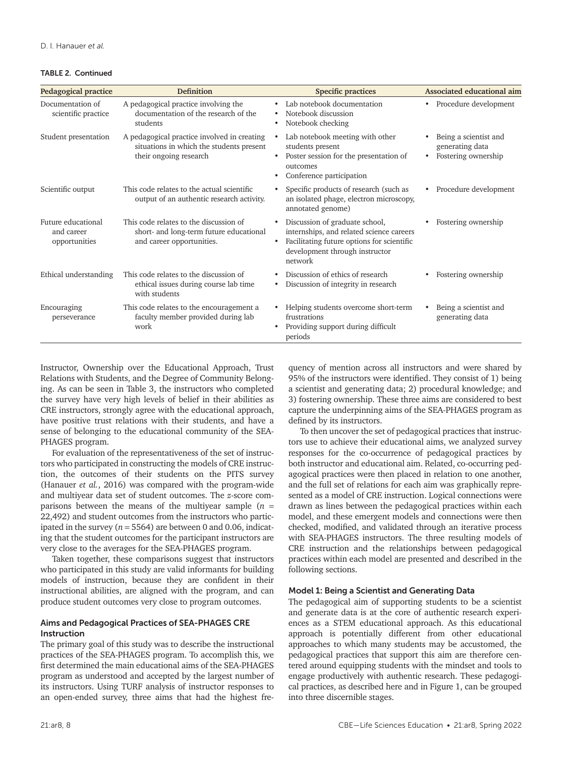#### TABLE 2. Continued

| <b>Pedagogical practice</b>                       | <b>Definition</b>                                                                                                 | <b>Specific practices</b>                                                                                                                                                                       | Associated educational aim                                      |
|---------------------------------------------------|-------------------------------------------------------------------------------------------------------------------|-------------------------------------------------------------------------------------------------------------------------------------------------------------------------------------------------|-----------------------------------------------------------------|
| Documentation of<br>scientific practice           | A pedagogical practice involving the<br>documentation of the research of the<br>students                          | Lab notebook documentation<br>Notebook discussion<br>$\bullet$<br>Notebook checking<br>$\bullet$                                                                                                | • Procedure development                                         |
| Student presentation                              | A pedagogical practice involved in creating<br>situations in which the students present<br>their ongoing research | Lab notebook meeting with other<br>students present<br>Poster session for the presentation of<br>outcomes<br>Conference participation                                                           | Being a scientist and<br>generating data<br>Fostering ownership |
| Scientific output                                 | This code relates to the actual scientific<br>output of an authentic research activity.                           | Specific products of research (such as<br>an isolated phage, electron microscopy,<br>annotated genome)                                                                                          | Procedure development                                           |
| Future educational<br>and career<br>opportunities | This code relates to the discussion of<br>short- and long-term future educational<br>and career opportunities.    | Discussion of graduate school,<br>$\bullet$<br>internships, and related science careers<br>Facilitating future options for scientific<br>$\bullet$<br>development through instructor<br>network | Fostering ownership                                             |
| Ethical understanding                             | This code relates to the discussion of<br>ethical issues during course lab time<br>with students                  | Discussion of ethics of research<br>Discussion of integrity in research<br>$\bullet$                                                                                                            | Fostering ownership                                             |
| Encouraging<br>perseverance                       | This code relates to the encouragement a<br>faculty member provided during lab<br>work                            | Helping students overcome short-term<br>frustrations<br>Providing support during difficult<br>periods                                                                                           | Being a scientist and<br>generating data                        |

Instructor, Ownership over the Educational Approach, Trust Relations with Students, and the Degree of Community Belonging. As can be seen in Table 3, the instructors who completed the survey have very high levels of belief in their abilities as CRE instructors, strongly agree with the educational approach, have positive trust relations with their students, and have a sense of belonging to the educational community of the SEA-PHAGES program.

For evaluation of the representativeness of the set of instructors who participated in constructing the models of CRE instruction, the outcomes of their students on the PITS survey (Hanauer *et al.*, 2016) was compared with the program-wide and multiyear data set of student outcomes. The *z*-score comparisons between the means of the multiyear sample  $(n =$ 22,492) and student outcomes from the instructors who participated in the survey ( $n = 5564$ ) are between 0 and 0.06, indicating that the student outcomes for the participant instructors are very close to the averages for the SEA-PHAGES program.

Taken together, these comparisons suggest that instructors who participated in this study are valid informants for building models of instruction, because they are confident in their instructional abilities, are aligned with the program, and can produce student outcomes very close to program outcomes.

# Aims and Pedagogical Practices of SEA-PHAGES CRE Instruction

The primary goal of this study was to describe the instructional practices of the SEA-PHAGES program. To accomplish this, we first determined the main educational aims of the SEA-PHAGES program as understood and accepted by the largest number of its instructors. Using TURF analysis of instructor responses to an open-ended survey, three aims that had the highest frequency of mention across all instructors and were shared by 95% of the instructors were identified. They consist of 1) being a scientist and generating data; 2) procedural knowledge; and 3) fostering ownership. These three aims are considered to best capture the underpinning aims of the SEA-PHAGES program as defined by its instructors.

To then uncover the set of pedagogical practices that instructors use to achieve their educational aims, we analyzed survey responses for the co-occurrence of pedagogical practices by both instructor and educational aim. Related, co-occurring pedagogical practices were then placed in relation to one another, and the full set of relations for each aim was graphically represented as a model of CRE instruction. Logical connections were drawn as lines between the pedagogical practices within each model, and these emergent models and connections were then checked, modified, and validated through an iterative process with SEA-PHAGES instructors. The three resulting models of CRE instruction and the relationships between pedagogical practices within each model are presented and described in the following sections.

## Model 1: Being a Scientist and Generating Data

The pedagogical aim of supporting students to be a scientist and generate data is at the core of authentic research experiences as a STEM educational approach. As this educational approach is potentially different from other educational approaches to which many students may be accustomed, the pedagogical practices that support this aim are therefore centered around equipping students with the mindset and tools to engage productively with authentic research. These pedagogical practices, as described here and in Figure 1, can be grouped into three discernible stages.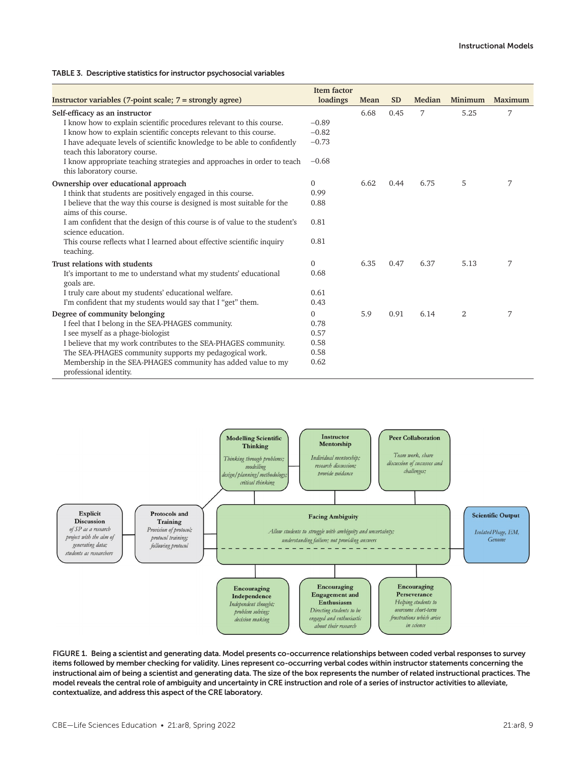# TABLE 3. Descriptive statistics for instructor psychosocial variables

| <b>Item factor</b>                                                                                        |              |      |           |        |                |         |  |
|-----------------------------------------------------------------------------------------------------------|--------------|------|-----------|--------|----------------|---------|--|
| Instructor variables (7-point scale; 7 = strongly agree)                                                  | loadings     | Mean | <b>SD</b> | Median | Minimum        | Maximum |  |
| Self-efficacy as an instructor                                                                            |              | 6.68 | 0.45      | 7      | 5.25           | 7       |  |
| I know how to explain scientific procedures relevant to this course.                                      | $-0.89$      |      |           |        |                |         |  |
| I know how to explain scientific concepts relevant to this course.                                        | $-0.82$      |      |           |        |                |         |  |
| I have adequate levels of scientific knowledge to be able to confidently<br>teach this laboratory course. | $-0.73$      |      |           |        |                |         |  |
| I know appropriate teaching strategies and approaches in order to teach<br>this laboratory course.        | $-0.68$      |      |           |        |                |         |  |
| Ownership over educational approach                                                                       | 0            | 6.62 | 0.44      | 6.75   | 5              | 7       |  |
| I think that students are positively engaged in this course.                                              | 0.99         |      |           |        |                |         |  |
| I believe that the way this course is designed is most suitable for the<br>aims of this course.           | 0.88         |      |           |        |                |         |  |
| I am confident that the design of this course is of value to the student's<br>science education.          | 0.81         |      |           |        |                |         |  |
| This course reflects what I learned about effective scientific inquiry<br>teaching.                       | 0.81         |      |           |        |                |         |  |
| Trust relations with students                                                                             | $\mathbf{0}$ | 6.35 | 0.47      | 6.37   | 5.13           | 7       |  |
| It's important to me to understand what my students' educational<br>goals are.                            | 0.68         |      |           |        |                |         |  |
| I truly care about my students' educational welfare.                                                      | 0.61         |      |           |        |                |         |  |
| I'm confident that my students would say that I "get" them.                                               | 0.43         |      |           |        |                |         |  |
| Degree of community belonging                                                                             | $\Omega$     | 5.9  | 0.91      | 6.14   | $\overline{2}$ | 7       |  |
| I feel that I belong in the SEA-PHAGES community.                                                         | 0.78         |      |           |        |                |         |  |
| I see myself as a phage-biologist                                                                         | 0.57         |      |           |        |                |         |  |
| I believe that my work contributes to the SEA-PHAGES community.                                           | 0.58         |      |           |        |                |         |  |
| The SEA-PHAGES community supports my pedagogical work.                                                    | 0.58         |      |           |        |                |         |  |
| Membership in the SEA-PHAGES community has added value to my<br>professional identity.                    | 0.62         |      |           |        |                |         |  |



FIGURE 1. Being a scientist and generating data. Model presents co-occurrence relationships between coded verbal responses to survey items followed by member checking for validity. Lines represent co-occurring verbal codes within instructor statements concerning the instructional aim of being a scientist and generating data. The size of the box represents the number of related instructional practices. The model reveals the central role of ambiguity and uncertainty in CRE instruction and role of a series of instructor activities to alleviate, contextualize, and address this aspect of the CRE laboratory.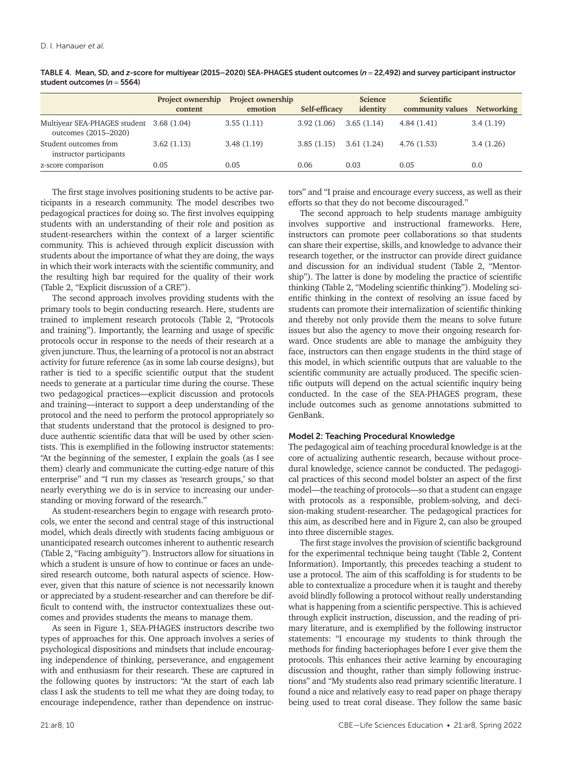|                                                                  | <b>Project ownership</b> | <b>Project ownership</b> |               | <b>Science</b> | <b>Scientific</b> |                   |
|------------------------------------------------------------------|--------------------------|--------------------------|---------------|----------------|-------------------|-------------------|
|                                                                  | content                  | emotion                  | Self-efficacy | identity       | community values  | <b>Networking</b> |
| Multiyear SEA-PHAGES student 3.68 (1.04)<br>outcomes (2015-2020) |                          | 3.55(1.11)               | 3.92(1.06)    | 3.65(1.14)     | 4.84(1.41)        | 3.4(1.19)         |
| Student outcomes from<br>instructor participants                 | 3.62(1.13)               | 3.48(1.19)               | 3.85(1.15)    | 3.61 (1.24)    | 4.76(1.53)        | 3.4(1.26)         |
| z-score comparison                                               | 0.05                     | 0.05                     | 0.06          | 0.03           | 0.05              | 0.0               |

TABLE 4. Mean, SD, and *z*-score for multiyear (2015–2020) SEA-PHAGES student outcomes (*n* = 22,492) and survey participant instructor student outcomes (*n* = 5564)

The first stage involves positioning students to be active participants in a research community. The model describes two pedagogical practices for doing so. The first involves equipping students with an understanding of their role and position as student-researchers within the context of a larger scientific community. This is achieved through explicit discussion with students about the importance of what they are doing, the ways in which their work interacts with the scientific community, and the resulting high bar required for the quality of their work (Table 2, "Explicit discussion of a CRE").

The second approach involves providing students with the primary tools to begin conducting research. Here, students are trained to implement research protocols (Table 2, "Protocols and training"). Importantly, the learning and usage of specific protocols occur in response to the needs of their research at a given juncture. Thus, the learning of a protocol is not an abstract activity for future reference (as in some lab course designs), but rather is tied to a specific scientific output that the student needs to generate at a particular time during the course. These two pedagogical practices—explicit discussion and protocols and training—interact to support a deep understanding of the protocol and the need to perform the protocol appropriately so that students understand that the protocol is designed to produce authentic scientific data that will be used by other scientists. This is exemplified in the following instructor statements: "At the beginning of the semester, I explain the goals (as I see them) clearly and communicate the cutting-edge nature of this enterprise" and "I run my classes as 'research groups,' so that nearly everything we do is in service to increasing our understanding or moving forward of the research."

As student-researchers begin to engage with research protocols, we enter the second and central stage of this instructional model, which deals directly with students facing ambiguous or unanticipated research outcomes inherent to authentic research (Table 2, "Facing ambiguity"). Instructors allow for situations in which a student is unsure of how to continue or faces an undesired research outcome, both natural aspects of science. However, given that this nature of science is not necessarily known or appreciated by a student-researcher and can therefore be difficult to contend with, the instructor contextualizes these outcomes and provides students the means to manage them.

As seen in Figure 1, SEA-PHAGES instructors describe two types of approaches for this. One approach involves a series of psychological dispositions and mindsets that include encouraging independence of thinking, perseverance, and engagement with and enthusiasm for their research. These are captured in the following quotes by instructors: "At the start of each lab class I ask the students to tell me what they are doing today, to encourage independence, rather than dependence on instructors" and "I praise and encourage every success, as well as their efforts so that they do not become discouraged."

The second approach to help students manage ambiguity involves supportive and instructional frameworks. Here, instructors can promote peer collaborations so that students can share their expertise, skills, and knowledge to advance their research together, or the instructor can provide direct guidance and discussion for an individual student (Table 2, "Mentorship"). The latter is done by modeling the practice of scientific thinking (Table 2, "Modeling scientific thinking"). Modeling scientific thinking in the context of resolving an issue faced by students can promote their internalization of scientific thinking and thereby not only provide them the means to solve future issues but also the agency to move their ongoing research forward. Once students are able to manage the ambiguity they face, instructors can then engage students in the third stage of this model, in which scientific outputs that are valuable to the scientific community are actually produced. The specific scientific outputs will depend on the actual scientific inquiry being conducted. In the case of the SEA-PHAGES program, these include outcomes such as genome annotations submitted to GenBank.

# Model 2: Teaching Procedural Knowledge

The pedagogical aim of teaching procedural knowledge is at the core of actualizing authentic research, because without procedural knowledge, science cannot be conducted. The pedagogical practices of this second model bolster an aspect of the first model—the teaching of protocols—so that a student can engage with protocols as a responsible, problem-solving, and decision-making student-researcher. The pedagogical practices for this aim, as described here and in Figure 2, can also be grouped into three discernible stages.

The first stage involves the provision of scientific background for the experimental technique being taught (Table 2, Content Information). Importantly, this precedes teaching a student to use a protocol. The aim of this scaffolding is for students to be able to contextualize a procedure when it is taught and thereby avoid blindly following a protocol without really understanding what is happening from a scientific perspective. This is achieved through explicit instruction, discussion, and the reading of primary literature, and is exemplified by the following instructor statements: "I encourage my students to think through the methods for finding bacteriophages before I ever give them the protocols. This enhances their active learning by encouraging discussion and thought, rather than simply following instructions" and "My students also read primary scientific literature. I found a nice and relatively easy to read paper on phage therapy being used to treat coral disease. They follow the same basic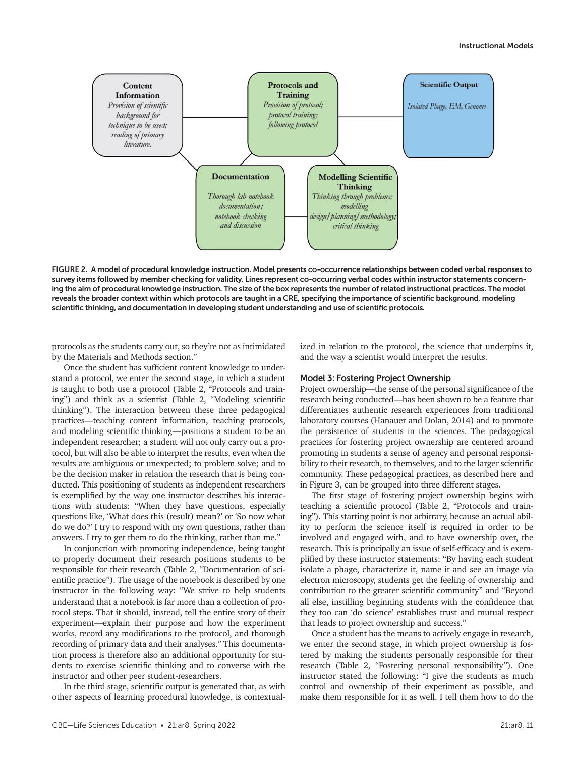

FIGURE 2. A model of procedural knowledge instruction. Model presents co-occurrence relationships between coded verbal responses to survey items followed by member checking for validity. Lines represent co-occurring verbal codes within instructor statements concerning the aim of procedural knowledge instruction. The size of the box represents the number of related instructional practices. The model reveals the broader context within which protocols are taught in a CRE, specifying the importance of scientific background, modeling scientific thinking, and documentation in developing student understanding and use of scientific protocols.

protocols as the students carry out, so they're not as intimidated by the Materials and Methods section."

Once the student has sufficient content knowledge to understand a protocol, we enter the second stage, in which a student is taught to both use a protocol (Table 2, "Protocols and training") and think as a scientist (Table 2, "Modeling scientific thinking"). The interaction between these three pedagogical practices—teaching content information, teaching protocols, and modeling scientific thinking—positions a student to be an independent researcher; a student will not only carry out a protocol, but will also be able to interpret the results, even when the results are ambiguous or unexpected; to problem solve; and to be the decision maker in relation the research that is being conducted. This positioning of students as independent researchers is exemplified by the way one instructor describes his interactions with students: "When they have questions, especially questions like, 'What does this (result) mean?' or 'So now what do we do?' I try to respond with my own questions, rather than answers. I try to get them to do the thinking, rather than me."

In conjunction with promoting independence, being taught to properly document their research positions students to be responsible for their research (Table 2, "Documentation of scientific practice"). The usage of the notebook is described by one instructor in the following way: "We strive to help students understand that a notebook is far more than a collection of protocol steps. That it should, instead, tell the entire story of their experiment—explain their purpose and how the experiment works, record any modifications to the protocol, and thorough recording of primary data and their analyses." This documentation process is therefore also an additional opportunity for students to exercise scientific thinking and to converse with the instructor and other peer student-researchers.

In the third stage, scientific output is generated that, as with other aspects of learning procedural knowledge, is contextualized in relation to the protocol, the science that underpins it, and the way a scientist would interpret the results.

### Model 3: Fostering Project Ownership

Project ownership—the sense of the personal significance of the research being conducted—has been shown to be a feature that differentiates authentic research experiences from traditional laboratory courses (Hanauer and Dolan, 2014) and to promote the persistence of students in the sciences. The pedagogical practices for fostering project ownership are centered around promoting in students a sense of agency and personal responsibility to their research, to themselves, and to the larger scientific community. These pedagogical practices, as described here and in Figure 3, can be grouped into three different stages.

The first stage of fostering project ownership begins with teaching a scientific protocol (Table 2, "Protocols and training"). This starting point is not arbitrary, because an actual ability to perform the science itself is required in order to be involved and engaged with, and to have ownership over, the research. This is principally an issue of self-efficacy and is exemplified by these instructor statements: "By having each student isolate a phage, characterize it, name it and see an image via electron microscopy, students get the feeling of ownership and contribution to the greater scientific community" and "Beyond all else, instilling beginning students with the confidence that they too can 'do science' establishes trust and mutual respect that leads to project ownership and success."

Once a student has the means to actively engage in research, we enter the second stage, in which project ownership is fostered by making the students personally responsible for their research (Table 2, "Fostering personal responsibility"). One instructor stated the following: "I give the students as much control and ownership of their experiment as possible, and make them responsible for it as well. I tell them how to do the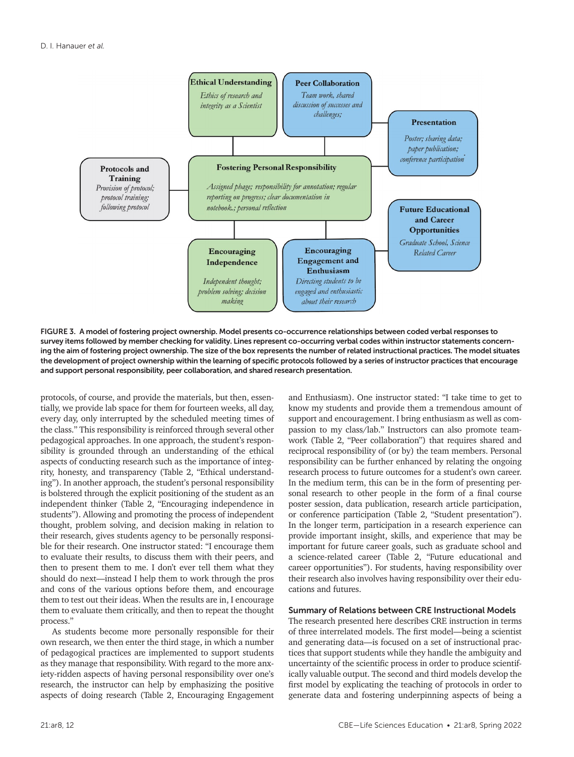

FIGURE 3. A model of fostering project ownership. Model presents co-occurrence relationships between coded verbal responses to survey items followed by member checking for validity. Lines represent co-occurring verbal codes within instructor statements concerning the aim of fostering project ownership. The size of the box represents the number of related instructional practices. The model situates the development of project ownership within the learning of specific protocols followed by a series of instructor practices that encourage and support personal responsibility, peer collaboration, and shared research presentation.

protocols, of course, and provide the materials, but then, essentially, we provide lab space for them for fourteen weeks, all day, every day, only interrupted by the scheduled meeting times of the class." This responsibility is reinforced through several other pedagogical approaches. In one approach, the student's responsibility is grounded through an understanding of the ethical aspects of conducting research such as the importance of integrity, honesty, and transparency (Table 2, "Ethical understanding"). In another approach, the student's personal responsibility is bolstered through the explicit positioning of the student as an independent thinker (Table 2, "Encouraging independence in students"). Allowing and promoting the process of independent thought, problem solving, and decision making in relation to their research, gives students agency to be personally responsible for their research. One instructor stated: "I encourage them to evaluate their results, to discuss them with their peers, and then to present them to me. I don't ever tell them what they should do next—instead I help them to work through the pros and cons of the various options before them, and encourage them to test out their ideas. When the results are in, I encourage them to evaluate them critically, and then to repeat the thought process."

As students become more personally responsible for their own research, we then enter the third stage, in which a number of pedagogical practices are implemented to support students as they manage that responsibility. With regard to the more anxiety-ridden aspects of having personal responsibility over one's research, the instructor can help by emphasizing the positive aspects of doing research (Table 2, Encouraging Engagement and Enthusiasm). One instructor stated: "I take time to get to know my students and provide them a tremendous amount of support and encouragement. I bring enthusiasm as well as compassion to my class/lab." Instructors can also promote teamwork (Table 2, "Peer collaboration") that requires shared and reciprocal responsibility of (or by) the team members. Personal responsibility can be further enhanced by relating the ongoing research process to future outcomes for a student's own career. In the medium term, this can be in the form of presenting personal research to other people in the form of a final course poster session, data publication, research article participation, or conference participation (Table 2, "Student presentation"). In the longer term, participation in a research experience can provide important insight, skills, and experience that may be important for future career goals, such as graduate school and a science-related career (Table 2, "Future educational and career opportunities"). For students, having responsibility over their research also involves having responsibility over their educations and futures.

## Summary of Relations between CRE Instructional Models

The research presented here describes CRE instruction in terms of three interrelated models. The first model—being a scientist and generating data—is focused on a set of instructional practices that support students while they handle the ambiguity and uncertainty of the scientific process in order to produce scientifically valuable output. The second and third models develop the first model by explicating the teaching of protocols in order to generate data and fostering underpinning aspects of being a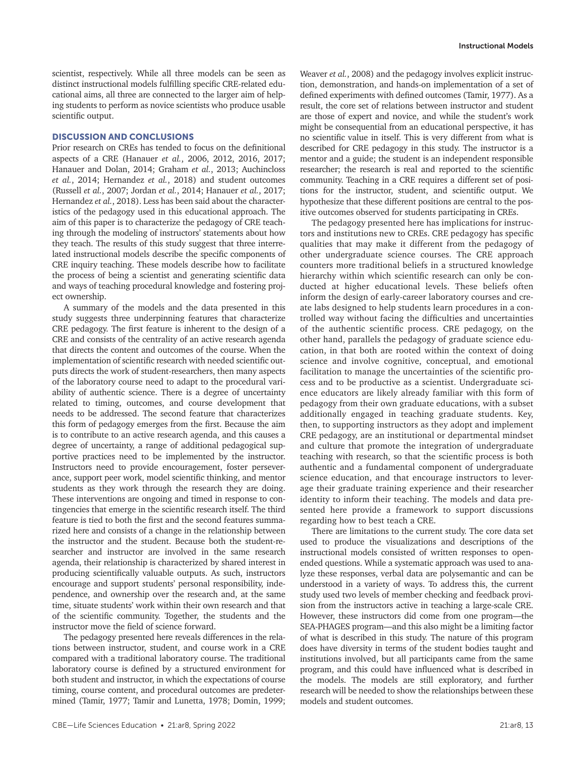scientist, respectively. While all three models can be seen as distinct instructional models fulfilling specific CRE-related educational aims, all three are connected to the larger aim of helping students to perform as novice scientists who produce usable scientific output.

# DISCUSSION AND CONCLUSIONS

Prior research on CREs has tended to focus on the definitional aspects of a CRE (Hanauer *et al.*, 2006, 2012, 2016, 2017; Hanauer and Dolan, 2014; Graham *et al.*, 2013; Auchincloss *et al.*, 2014; Hernandez *et al.*, 2018) and student outcomes (Russell *et al.*, 2007; Jordan *et al.*, 2014; Hanauer *et al.*, 2017; Hernandez *et al.*, 2018). Less has been said about the characteristics of the pedagogy used in this educational approach. The aim of this paper is to characterize the pedagogy of CRE teaching through the modeling of instructors' statements about how they teach. The results of this study suggest that three interrelated instructional models describe the specific components of CRE inquiry teaching. These models describe how to facilitate the process of being a scientist and generating scientific data and ways of teaching procedural knowledge and fostering project ownership.

A summary of the models and the data presented in this study suggests three underpinning features that characterize CRE pedagogy. The first feature is inherent to the design of a CRE and consists of the centrality of an active research agenda that directs the content and outcomes of the course. When the implementation of scientific research with needed scientific outputs directs the work of student-researchers, then many aspects of the laboratory course need to adapt to the procedural variability of authentic science. There is a degree of uncertainty related to timing, outcomes, and course development that needs to be addressed. The second feature that characterizes this form of pedagogy emerges from the first. Because the aim is to contribute to an active research agenda, and this causes a degree of uncertainty, a range of additional pedagogical supportive practices need to be implemented by the instructor. Instructors need to provide encouragement, foster perseverance, support peer work, model scientific thinking, and mentor students as they work through the research they are doing. These interventions are ongoing and timed in response to contingencies that emerge in the scientific research itself. The third feature is tied to both the first and the second features summarized here and consists of a change in the relationship between the instructor and the student. Because both the student-researcher and instructor are involved in the same research agenda, their relationship is characterized by shared interest in producing scientifically valuable outputs. As such, instructors encourage and support students' personal responsibility, independence, and ownership over the research and, at the same time, situate students' work within their own research and that of the scientific community. Together, the students and the instructor move the field of science forward.

The pedagogy presented here reveals differences in the relations between instructor, student, and course work in a CRE compared with a traditional laboratory course. The traditional laboratory course is defined by a structured environment for both student and instructor, in which the expectations of course timing, course content, and procedural outcomes are predetermined (Tamir, 1977; Tamir and Lunetta, 1978; Domin, 1999;

Weaver *et al.*, 2008) and the pedagogy involves explicit instruction, demonstration, and hands-on implementation of a set of defined experiments with defined outcomes (Tamir, 1977). As a result, the core set of relations between instructor and student are those of expert and novice, and while the student's work might be consequential from an educational perspective, it has no scientific value in itself. This is very different from what is described for CRE pedagogy in this study. The instructor is a mentor and a guide; the student is an independent responsible researcher; the research is real and reported to the scientific community. Teaching in a CRE requires a different set of positions for the instructor, student, and scientific output. We hypothesize that these different positions are central to the positive outcomes observed for students participating in CREs.

The pedagogy presented here has implications for instructors and institutions new to CREs. CRE pedagogy has specific qualities that may make it different from the pedagogy of other undergraduate science courses. The CRE approach counters more traditional beliefs in a structured knowledge hierarchy within which scientific research can only be conducted at higher educational levels. These beliefs often inform the design of early-career laboratory courses and create labs designed to help students learn procedures in a controlled way without facing the difficulties and uncertainties of the authentic scientific process. CRE pedagogy, on the other hand, parallels the pedagogy of graduate science education, in that both are rooted within the context of doing science and involve cognitive, conceptual, and emotional facilitation to manage the uncertainties of the scientific process and to be productive as a scientist. Undergraduate science educators are likely already familiar with this form of pedagogy from their own graduate educations, with a subset additionally engaged in teaching graduate students. Key, then, to supporting instructors as they adopt and implement CRE pedagogy, are an institutional or departmental mindset and culture that promote the integration of undergraduate teaching with research, so that the scientific process is both authentic and a fundamental component of undergraduate science education, and that encourage instructors to leverage their graduate training experience and their researcher identity to inform their teaching. The models and data presented here provide a framework to support discussions regarding how to best teach a CRE.

There are limitations to the current study. The core data set used to produce the visualizations and descriptions of the instructional models consisted of written responses to openended questions. While a systematic approach was used to analyze these responses, verbal data are polysemantic and can be understood in a variety of ways. To address this, the current study used two levels of member checking and feedback provision from the instructors active in teaching a large-scale CRE. However, these instructors did come from one program—the SEA-PHAGES program—and this also might be a limiting factor of what is described in this study. The nature of this program does have diversity in terms of the student bodies taught and institutions involved, but all participants came from the same program, and this could have influenced what is described in the models. The models are still exploratory, and further research will be needed to show the relationships between these models and student outcomes.